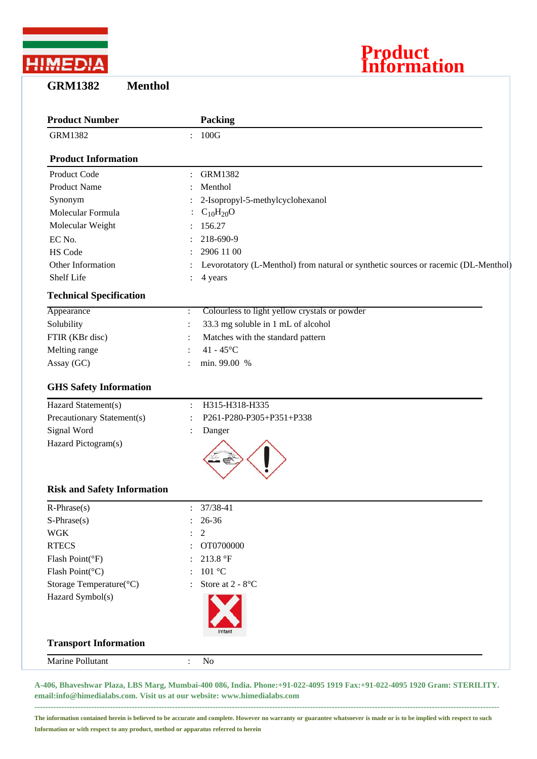

**GRM1382 Menthol**



| <b>Product Number</b>              |                | <b>Packing</b>                                                                     |
|------------------------------------|----------------|------------------------------------------------------------------------------------|
| <b>GRM1382</b>                     | $\ddot{\cdot}$ | 100G                                                                               |
| <b>Product Information</b>         |                |                                                                                    |
| Product Code                       |                | <b>GRM1382</b>                                                                     |
| <b>Product Name</b>                |                | Menthol                                                                            |
| Synonym                            |                | 2-Isopropyl-5-methylcyclohexanol                                                   |
| Molecular Formula                  |                | $C_{10}H_{20}O$                                                                    |
| Molecular Weight                   |                | 156.27                                                                             |
| EC No.                             |                | 218-690-9                                                                          |
| <b>HS Code</b>                     |                | 2906 11 00                                                                         |
| Other Information                  |                | Levorotatory (L-Menthol) from natural or synthetic sources or racemic (DL-Menthol) |
| Shelf Life                         |                | 4 years                                                                            |
| <b>Technical Specification</b>     |                |                                                                                    |
| Appearance                         | $\ddot{\cdot}$ | Colourless to light yellow crystals or powder                                      |
| Solubility                         | $\ddot{\cdot}$ | 33.3 mg soluble in 1 mL of alcohol                                                 |
| FTIR (KBr disc)                    |                | Matches with the standard pattern                                                  |
| Melting range                      |                | 41 - $45^{\circ}$ C                                                                |
| Assay (GC)                         | $\ddot{\cdot}$ | min. 99.00 %                                                                       |
| <b>GHS Safety Information</b>      |                |                                                                                    |
| Hazard Statement(s)                |                | H315-H318-H335                                                                     |
| Precautionary Statement(s)         |                | P261-P280-P305+P351+P338                                                           |
| Signal Word                        |                | Danger                                                                             |
| Hazard Pictogram(s)                |                |                                                                                    |
| <b>Risk and Safety Information</b> |                |                                                                                    |
| $R$ -Phrase $(s)$                  |                | 37/38-41                                                                           |
| $S-Phrase(s)$                      |                | 26-36                                                                              |
| <b>WGK</b>                         |                | $\overline{2}$                                                                     |
| <b>RTECS</b>                       |                | OT0700000                                                                          |
| Flash Point(°F)                    |                | 213.8 °F                                                                           |
| Flash Point(°C)                    |                | 101 °C                                                                             |
| Storage Temperature(°C)            |                | Store at 2 - 8°C                                                                   |
| Hazard Symbol(s)                   |                |                                                                                    |
| <b>Transport Information</b>       |                |                                                                                    |
| Marine Pollutant                   | $\ddot{\cdot}$ | No                                                                                 |

**A-406, Bhaveshwar Plaza, LBS Marg, Mumbai-400 086, India. Phone:+91-022-4095 1919 Fax:+91-022-4095 1920 Gram: STERILITY. email:info@himedialabs.com. Visit us at our website: www.himedialabs.com**

**----------------------------------------------------------------------------------------------------------------------------------------------------------------------------**

**The information contained herein is believed to be accurate and complete. However no warranty or guarantee whatsoever is made or is to be implied with respect to such Information or with respect to any product, method or apparatus referred to herein**